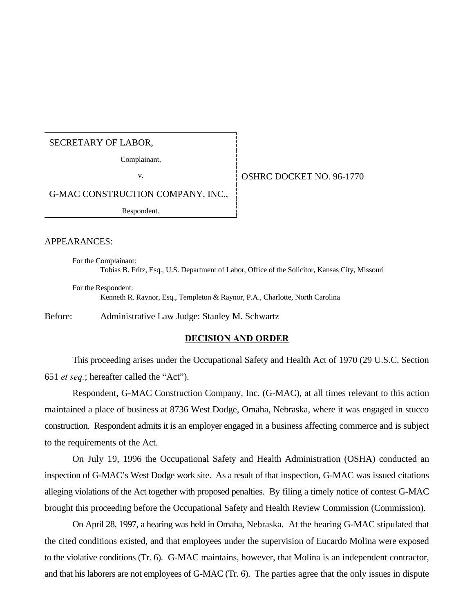## SECRETARY OF LABOR,

Complainant,

## v. 69-1770 **OSHRC DOCKET NO. 96-1770**

G-MAC CONSTRUCTION COMPANY, INC.,

Respondent.

#### APPEARANCES:

For the Complainant: Tobias B. Fritz, Esq., U.S. Department of Labor, Office of the Solicitor, Kansas City, Missouri

For the Respondent: Kenneth R. Raynor, Esq., Templeton & Raynor, P.A., Charlotte, North Carolina

Before: Administrative Law Judge: Stanley M. Schwartz

### **DECISION AND ORDER**

This proceeding arises under the Occupational Safety and Health Act of 1970 (29 U.S.C. Section 651 *et seq.*; hereafter called the "Act").

Respondent, G-MAC Construction Company, Inc. (G-MAC), at all times relevant to this action maintained a place of business at 8736 West Dodge, Omaha, Nebraska, where it was engaged in stucco construction. Respondent admits it is an employer engaged in a business affecting commerce and is subject to the requirements of the Act.

On July 19, 1996 the Occupational Safety and Health Administration (OSHA) conducted an inspection of G-MAC's West Dodge work site. As a result of that inspection, G-MAC was issued citations alleging violations of the Act together with proposed penalties. By filing a timely notice of contest G-MAC brought this proceeding before the Occupational Safety and Health Review Commission (Commission).

On April 28, 1997, a hearing was held in Omaha, Nebraska. At the hearing G-MAC stipulated that the cited conditions existed, and that employees under the supervision of Eucardo Molina were exposed to the violative conditions (Tr. 6). G-MAC maintains, however, that Molina is an independent contractor, and that his laborers are not employees of G-MAC (Tr. 6). The parties agree that the only issues in dispute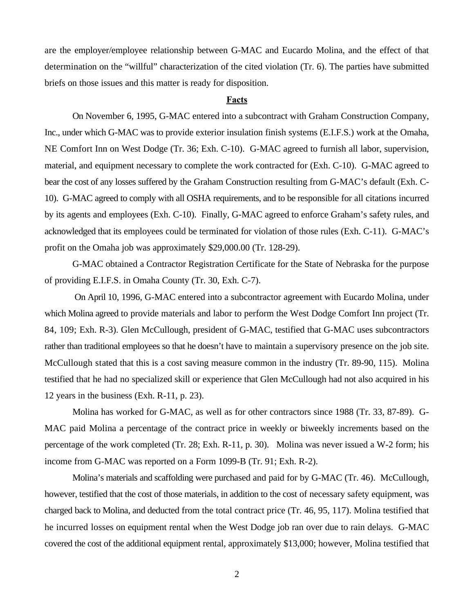are the employer/employee relationship between G-MAC and Eucardo Molina, and the effect of that determination on the "willful" characterization of the cited violation (Tr. 6). The parties have submitted briefs on those issues and this matter is ready for disposition.

#### **Facts**

On November 6, 1995, G-MAC entered into a subcontract with Graham Construction Company, Inc., under which G-MAC was to provide exterior insulation finish systems (E.I.F.S.) work at the Omaha, NE Comfort Inn on West Dodge (Tr. 36; Exh. C-10). G-MAC agreed to furnish all labor, supervision, material, and equipment necessary to complete the work contracted for (Exh. C-10). G-MAC agreed to bear the cost of any losses suffered by the Graham Construction resulting from G-MAC's default (Exh. C-10). G-MAC agreed to comply with all OSHA requirements, and to be responsible for all citations incurred by its agents and employees (Exh. C-10). Finally, G-MAC agreed to enforce Graham's safety rules, and acknowledged that its employees could be terminated for violation of those rules (Exh. C-11). G-MAC's profit on the Omaha job was approximately \$29,000.00 (Tr. 128-29).

G-MAC obtained a Contractor Registration Certificate for the State of Nebraska for the purpose of providing E.I.F.S. in Omaha County (Tr. 30, Exh. C-7).

 On April 10, 1996, G-MAC entered into a subcontractor agreement with Eucardo Molina, under which Molina agreed to provide materials and labor to perform the West Dodge Comfort Inn project (Tr. 84, 109; Exh. R-3). Glen McCullough, president of G-MAC, testified that G-MAC uses subcontractors rather than traditional employees so that he doesn't have to maintain a supervisory presence on the job site. McCullough stated that this is a cost saving measure common in the industry (Tr. 89-90, 115). Molina testified that he had no specialized skill or experience that Glen McCullough had not also acquired in his 12 years in the business (Exh. R-11, p. 23).

Molina has worked for G-MAC, as well as for other contractors since 1988 (Tr. 33, 87-89). G-MAC paid Molina a percentage of the contract price in weekly or biweekly increments based on the percentage of the work completed (Tr. 28; Exh. R-11, p. 30). Molina was never issued a W-2 form; his income from G-MAC was reported on a Form 1099-B (Tr. 91; Exh. R-2).

Molina's materials and scaffolding were purchased and paid for by G-MAC (Tr. 46). McCullough, however, testified that the cost of those materials, in addition to the cost of necessary safety equipment, was charged back to Molina, and deducted from the total contract price (Tr. 46, 95, 117). Molina testified that he incurred losses on equipment rental when the West Dodge job ran over due to rain delays. G-MAC covered the cost of the additional equipment rental, approximately \$13,000; however, Molina testified that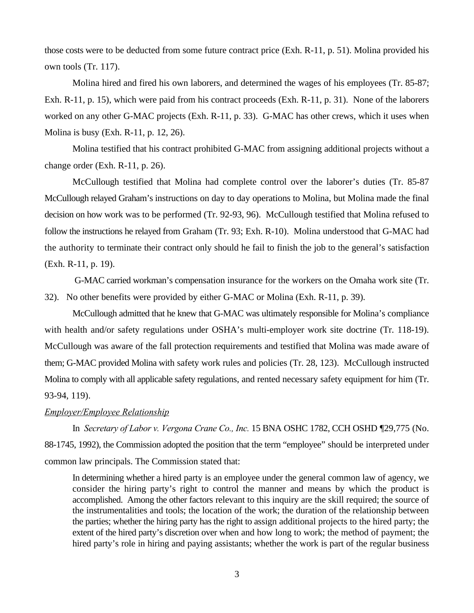those costs were to be deducted from some future contract price (Exh. R-11, p. 51). Molina provided his own tools (Tr. 117).

Molina hired and fired his own laborers, and determined the wages of his employees (Tr. 85-87; Exh. R-11, p. 15), which were paid from his contract proceeds (Exh. R-11, p. 31). None of the laborers worked on any other G-MAC projects (Exh. R-11, p. 33). G-MAC has other crews, which it uses when Molina is busy (Exh. R-11, p. 12, 26).

Molina testified that his contract prohibited G-MAC from assigning additional projects without a change order (Exh. R-11, p. 26).

McCullough testified that Molina had complete control over the laborer's duties (Tr. 85-87 McCullough relayed Graham's instructions on day to day operations to Molina, but Molina made the final decision on how work was to be performed (Tr. 92-93, 96). McCullough testified that Molina refused to follow the instructions he relayed from Graham (Tr. 93; Exh. R-10). Molina understood that G-MAC had the authority to terminate their contract only should he fail to finish the job to the general's satisfaction (Exh. R-11, p. 19).

 G-MAC carried workman's compensation insurance for the workers on the Omaha work site (Tr. 32). No other benefits were provided by either G-MAC or Molina (Exh. R-11, p. 39).

McCullough admitted that he knew that G-MAC was ultimately responsible for Molina's compliance with health and/or safety regulations under OSHA's multi-employer work site doctrine (Tr. 118-19). McCullough was aware of the fall protection requirements and testified that Molina was made aware of them; G-MAC provided Molina with safety work rules and policies (Tr. 28, 123). McCullough instructed Molina to comply with all applicable safety regulations, and rented necessary safety equipment for him (Tr. 93-94, 119).

### *Employer/Employee Relationship*

In *Secretary of Labor v. Vergona Crane Co., Inc.* 15 BNA OSHC 1782, CCH OSHD ¶29,775 (No. 88-1745, 1992), the Commission adopted the position that the term "employee" should be interpreted under common law principals. The Commission stated that:

In determining whether a hired party is an employee under the general common law of agency, we consider the hiring party's right to control the manner and means by which the product is accomplished. Among the other factors relevant to this inquiry are the skill required; the source of the instrumentalities and tools; the location of the work; the duration of the relationship between the parties; whether the hiring party has the right to assign additional projects to the hired party; the extent of the hired party's discretion over when and how long to work; the method of payment; the hired party's role in hiring and paying assistants; whether the work is part of the regular business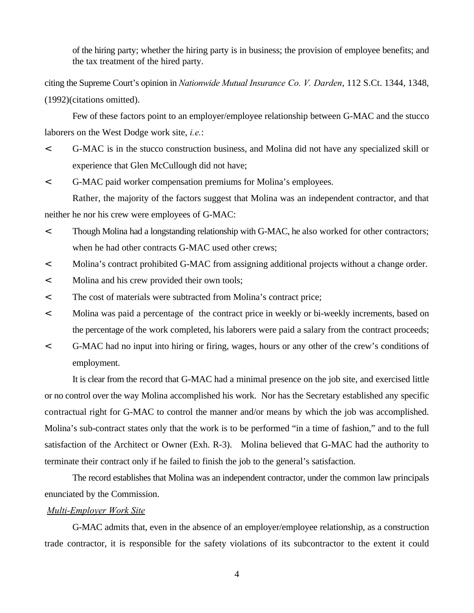of the hiring party; whether the hiring party is in business; the provision of employee benefits; and the tax treatment of the hired party.

citing the Supreme Court's opinion in *Nationwide Mutual Insurance Co. V. Darden*, 112 S.Ct. 1344, 1348, (1992)(citations omitted).

Few of these factors point to an employer/employee relationship between G-MAC and the stucco laborers on the West Dodge work site, *i.e.*:

- < G-MAC is in the stucco construction business, and Molina did not have any specialized skill or experience that Glen McCullough did not have;
- < G-MAC paid worker compensation premiums for Molina's employees.

Rather, the majority of the factors suggest that Molina was an independent contractor, and that neither he nor his crew were employees of G-MAC:

- < Though Molina had a longstanding relationship with G-MAC, he also worked for other contractors; when he had other contracts G-MAC used other crews;
- < Molina's contract prohibited G-MAC from assigning additional projects without a change order.
- < Molina and his crew provided their own tools;
- < The cost of materials were subtracted from Molina's contract price;
- < Molina was paid a percentage of the contract price in weekly or bi-weekly increments, based on the percentage of the work completed, his laborers were paid a salary from the contract proceeds;
- < G-MAC had no input into hiring or firing, wages, hours or any other of the crew's conditions of employment.

It is clear from the record that G-MAC had a minimal presence on the job site, and exercised little or no control over the way Molina accomplished his work. Nor has the Secretary established any specific contractual right for G-MAC to control the manner and/or means by which the job was accomplished. Molina's sub-contract states only that the work is to be performed "in a time of fashion," and to the full satisfaction of the Architect or Owner (Exh. R-3). Molina believed that G-MAC had the authority to terminate their contract only if he failed to finish the job to the general's satisfaction.

The record establishes that Molina was an independent contractor, under the common law principals enunciated by the Commission.

### *Multi-Employer Work Site*

G-MAC admits that, even in the absence of an employer/employee relationship, as a construction trade contractor, it is responsible for the safety violations of its subcontractor to the extent it could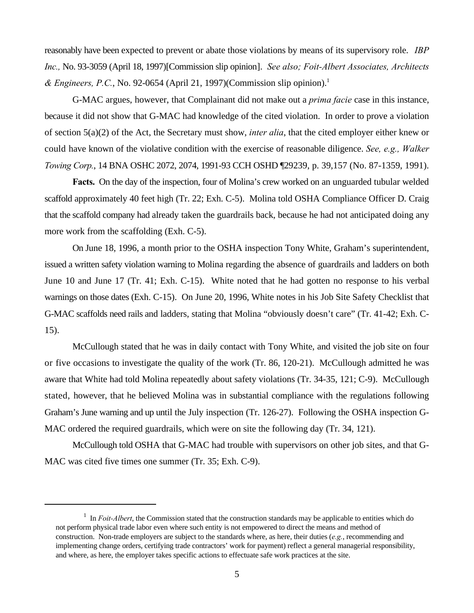reasonably have been expected to prevent or abate those violations by means of its supervisory role. *IBP Inc.,* No. 93-3059 (April 18, 1997)[Commission slip opinion]. *See also; Foit-Albert Associates, Architects & Engineers, P.C.*, No. 92-0654 (April 21, 1997)(Commission slip opinion).<sup>1</sup>

G-MAC argues, however, that Complainant did not make out a *prima facie* case in this instance, because it did not show that G-MAC had knowledge of the cited violation. In order to prove a violation of section 5(a)(2) of the Act, the Secretary must show, *inter alia*, that the cited employer either knew or could have known of the violative condition with the exercise of reasonable diligence. *See, e.g., Walker Towing Corp.*, 14 BNA OSHC 2072, 2074, 1991-93 CCH OSHD ¶29239, p. 39,157 (No. 87-1359, 1991).

**Facts.** On the day of the inspection, four of Molina's crew worked on an unguarded tubular welded scaffold approximately 40 feet high (Tr. 22; Exh. C-5). Molina told OSHA Compliance Officer D. Craig that the scaffold company had already taken the guardrails back, because he had not anticipated doing any more work from the scaffolding (Exh. C-5).

On June 18, 1996, a month prior to the OSHA inspection Tony White, Graham's superintendent, issued a written safety violation warning to Molina regarding the absence of guardrails and ladders on both June 10 and June 17 (Tr. 41; Exh. C-15). White noted that he had gotten no response to his verbal warnings on those dates (Exh. C-15). On June 20, 1996, White notes in his Job Site Safety Checklist that G-MAC scaffolds need rails and ladders, stating that Molina "obviously doesn't care" (Tr. 41-42; Exh. C-15).

McCullough stated that he was in daily contact with Tony White, and visited the job site on four or five occasions to investigate the quality of the work (Tr. 86, 120-21). McCullough admitted he was aware that White had told Molina repeatedly about safety violations (Tr. 34-35, 121; C-9). McCullough stated, however, that he believed Molina was in substantial compliance with the regulations following Graham's June warning and up until the July inspection (Tr. 126-27). Following the OSHA inspection G-MAC ordered the required guardrails, which were on site the following day (Tr. 34, 121).

McCullough told OSHA that G-MAC had trouble with supervisors on other job sites, and that G-MAC was cited five times one summer (Tr. 35; Exh. C-9).

 $I$  In *Foit-Albert*, the Commission stated that the construction standards may be applicable to entities which do not perform physical trade labor even where such entity is not empowered to direct the means and method of construction. Non-trade employers are subject to the standards where, as here, their duties (*e.g.*, recommending and implementing change orders, certifying trade contractors' work for payment) reflect a general managerial responsibility, and where, as here, the employer takes specific actions to effectuate safe work practices at the site.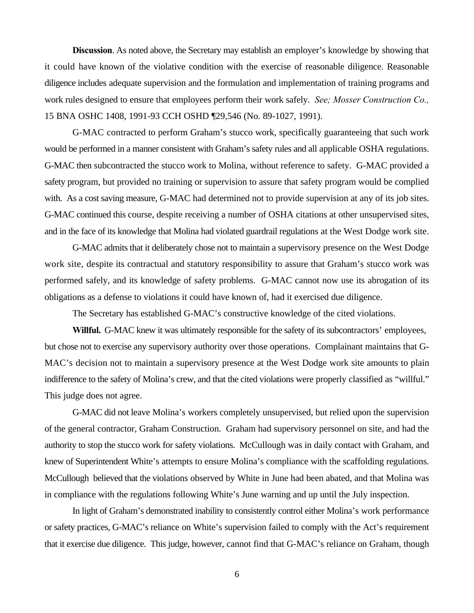**Discussion.** As noted above, the Secretary may establish an employer's knowledge by showing that it could have known of the violative condition with the exercise of reasonable diligence. Reasonable diligence includes adequate supervision and the formulation and implementation of training programs and work rules designed to ensure that employees perform their work safely. *See; Mosser Construction Co.,* 15 BNA OSHC 1408, 1991-93 CCH OSHD ¶29,546 (No. 89-1027, 1991).

G-MAC contracted to perform Graham's stucco work, specifically guaranteeing that such work would be performed in a manner consistent with Graham's safety rules and all applicable OSHA regulations. G-MAC then subcontracted the stucco work to Molina, without reference to safety. G-MAC provided a safety program, but provided no training or supervision to assure that safety program would be complied with. As a cost saving measure, G-MAC had determined not to provide supervision at any of its job sites. G-MAC continued this course, despite receiving a number of OSHA citations at other unsupervised sites, and in the face of its knowledge that Molina had violated guardrail regulations at the West Dodge work site.

G-MAC admits that it deliberately chose not to maintain a supervisory presence on the West Dodge work site, despite its contractual and statutory responsibility to assure that Graham's stucco work was performed safely, and its knowledge of safety problems. G-MAC cannot now use its abrogation of its obligations as a defense to violations it could have known of, had it exercised due diligence.

The Secretary has established G-MAC's constructive knowledge of the cited violations.

**Willful.** G-MAC knew it was ultimately responsible for the safety of its subcontractors' employees, but chose not to exercise any supervisory authority over those operations. Complainant maintains that G-MAC's decision not to maintain a supervisory presence at the West Dodge work site amounts to plain indifference to the safety of Molina's crew, and that the cited violations were properly classified as "willful." This judge does not agree.

G-MAC did not leave Molina's workers completely unsupervised, but relied upon the supervision of the general contractor, Graham Construction. Graham had supervisory personnel on site, and had the authority to stop the stucco work for safety violations. McCullough was in daily contact with Graham, and knew of Superintendent White's attempts to ensure Molina's compliance with the scaffolding regulations. McCullough believed that the violations observed by White in June had been abated, and that Molina was in compliance with the regulations following White's June warning and up until the July inspection.

In light of Graham's demonstrated inability to consistently control either Molina's work performance or safety practices, G-MAC's reliance on White's supervision failed to comply with the Act's requirement that it exercise due diligence. This judge, however, cannot find that G-MAC's reliance on Graham, though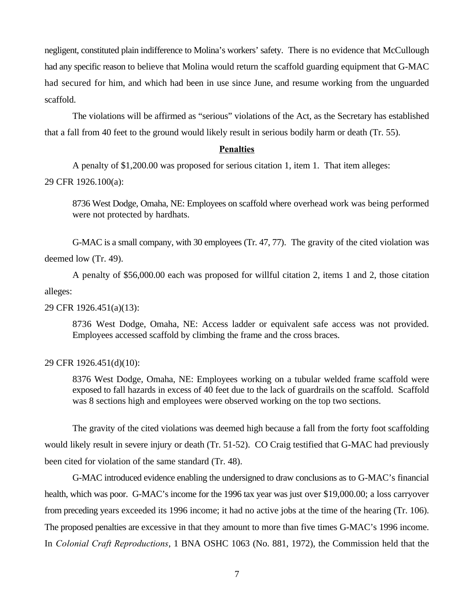negligent, constituted plain indifference to Molina's workers' safety. There is no evidence that McCullough had any specific reason to believe that Molina would return the scaffold guarding equipment that G-MAC had secured for him, and which had been in use since June, and resume working from the unguarded scaffold.

The violations will be affirmed as "serious" violations of the Act, as the Secretary has established that a fall from 40 feet to the ground would likely result in serious bodily harm or death (Tr. 55).

### **Penalties**

A penalty of \$1,200.00 was proposed for serious citation 1, item 1. That item alleges:

## 29 CFR 1926.100(a):

8736 West Dodge, Omaha, NE: Employees on scaffold where overhead work was being performed were not protected by hardhats.

G-MAC is a small company, with 30 employees (Tr. 47, 77). The gravity of the cited violation was deemed low (Tr. 49).

A penalty of \$56,000.00 each was proposed for willful citation 2, items 1 and 2, those citation alleges:

### 29 CFR 1926.451(a)(13):

8736 West Dodge, Omaha, NE: Access ladder or equivalent safe access was not provided. Employees accessed scaffold by climbing the frame and the cross braces.

### 29 CFR 1926.451(d)(10):

8376 West Dodge, Omaha, NE: Employees working on a tubular welded frame scaffold were exposed to fall hazards in excess of 40 feet due to the lack of guardrails on the scaffold. Scaffold was 8 sections high and employees were observed working on the top two sections.

The gravity of the cited violations was deemed high because a fall from the forty foot scaffolding would likely result in severe injury or death (Tr. 51-52). CO Craig testified that G-MAC had previously been cited for violation of the same standard (Tr. 48).

G-MAC introduced evidence enabling the undersigned to draw conclusions as to G-MAC's financial health, which was poor. G-MAC's income for the 1996 tax year was just over \$19,000.00; a loss carryover from preceding years exceeded its 1996 income; it had no active jobs at the time of the hearing (Tr. 106). The proposed penalties are excessive in that they amount to more than five times G-MAC's 1996 income. In *Colonial Craft Reproductions*, 1 BNA OSHC 1063 (No. 881, 1972), the Commission held that the